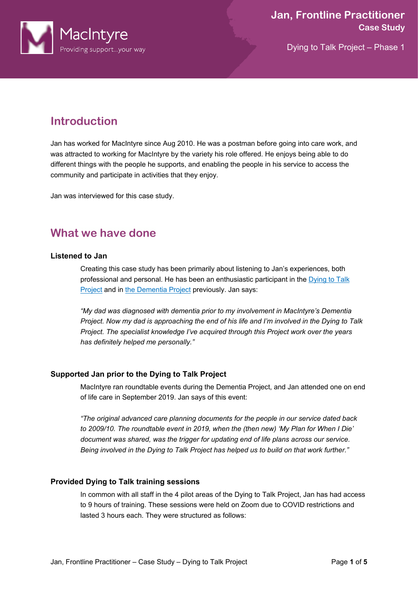

# **Introduction**

Jan has worked for MacIntyre since Aug 2010. He was a postman before going into care work, and was attracted to working for MacIntyre by the variety his role offered. He enjoys being able to do different things with the people he supports, and enabling the people in his service to access the community and participate in activities that they enjoy.

Jan was interviewed for this case study.

# **What we have done**

### **Listened to Jan**

Creating this case study has been primarily about listening to Jan's experiences, both professional and personal. He has been an enthusiastic participant in the [Dying to Talk](https://www.macintyrecharity.org/our-approach/death-and-dying)  [Project](https://www.macintyrecharity.org/our-approach/death-and-dying) and in [the Dementia Project](https://www.macintyrecharity.org/our-approach/dementia/the-macintyre-dementia-project/) previously. Jan says:

*"My dad was diagnosed with dementia prior to my involvement in MacIntyre's Dementia Project. Now my dad is approaching the end of his life and I'm involved in the Dying to Talk Project. The specialist knowledge I've acquired through this Project work over the years has definitely helped me personally."* 

# **Supported Jan prior to the Dying to Talk Project**

MacIntyre ran roundtable events during the Dementia Project, and Jan attended one on end of life care in September 2019. Jan says of this event:

*"The original advanced care planning documents for the people in our service dated back to 2009/10. The roundtable event in 2019, when the (then new) 'My Plan for When I Die' document was shared, was the trigger for updating end of life plans across our service. Being involved in the Dying to Talk Project has helped us to build on that work further."*

# **Provided Dying to Talk training sessions**

In common with all staff in the 4 pilot areas of the Dying to Talk Project, Jan has had access to 9 hours of training. These sessions were held on Zoom due to COVID restrictions and lasted 3 hours each. They were structured as follows: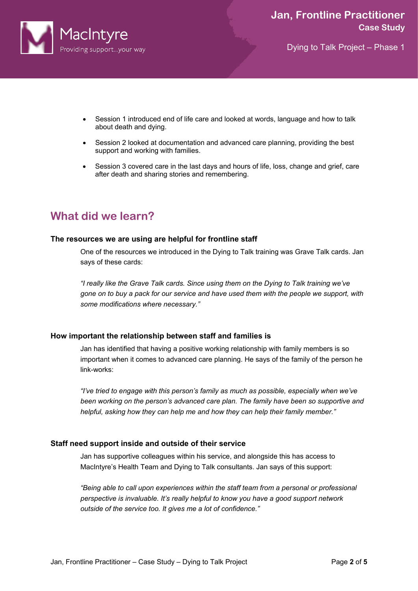

- Session 1 introduced end of life care and looked at words, language and how to talk about death and dying.
- Session 2 looked at documentation and advanced care planning, providing the best support and working with families.
- Session 3 covered care in the last days and hours of life, loss, change and grief, care after death and sharing stories and remembering.

# **What did we learn?**

#### **The resources we are using are helpful for frontline staff**

One of the resources we introduced in the Dying to Talk training was Grave Talk cards. Jan says of these cards:

*"I really like the Grave Talk cards. Since using them on the Dying to Talk training we've gone on to buy a pack for our service and have used them with the people we support, with some modifications where necessary."*

#### **How important the relationship between staff and families is**

Jan has identified that having a positive working relationship with family members is so important when it comes to advanced care planning. He says of the family of the person he link-works:

*"I've tried to engage with this person's family as much as possible, especially when we've been working on the person's advanced care plan. The family have been so supportive and helpful, asking how they can help me and how they can help their family member."*

#### **Staff need support inside and outside of their service**

Jan has supportive colleagues within his service, and alongside this has access to MacIntyre's Health Team and Dying to Talk consultants. Jan says of this support:

*"Being able to call upon experiences within the staff team from a personal or professional perspective is invaluable. It's really helpful to know you have a good support network outside of the service too. It gives me a lot of confidence."*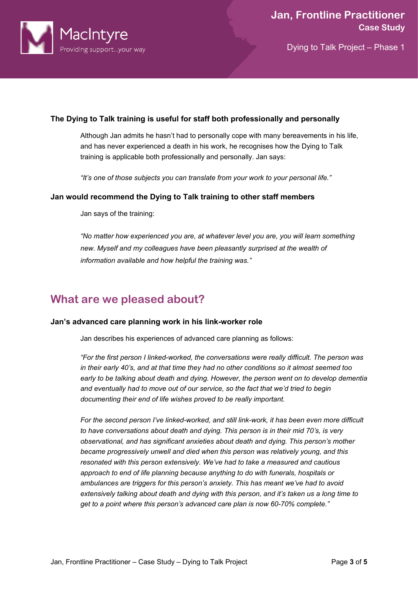

### **The Dying to Talk training is useful for staff both professionally and personally**

Although Jan admits he hasn't had to personally cope with many bereavements in his life, and has never experienced a death in his work, he recognises how the Dying to Talk training is applicable both professionally and personally. Jan says:

*"It's one of those subjects you can translate from your work to your personal life."* 

#### **Jan would recommend the Dying to Talk training to other staff members**

Jan says of the training:

*"No matter how experienced you are, at whatever level you are, you will learn something new. Myself and my colleagues have been pleasantly surprised at the wealth of information available and how helpful the training was."*

# **What are we pleased about?**

#### **Jan's advanced care planning work in his link-worker role**

Jan describes his experiences of advanced care planning as follows:

*"For the first person I linked-worked, the conversations were really difficult. The person was in their early 40's, and at that time they had no other conditions so it almost seemed too early to be talking about death and dying. However, the person went on to develop dementia and eventually had to move out of our service, so the fact that we'd tried to begin documenting their end of life wishes proved to be really important.*

*For the second person I've linked-worked, and still link-work, it has been even more difficult to have conversations about death and dying. This person is in their mid 70's, is very observational, and has significant anxieties about death and dying. This person's mother became progressively unwell and died when this person was relatively young, and this resonated with this person extensively. We've had to take a measured and cautious approach to end of life planning because anything to do with funerals, hospitals or ambulances are triggers for this person's anxiety. This has meant we've had to avoid extensively talking about death and dying with this person, and it's taken us a long time to get to a point where this person's advanced care plan is now 60-70% complete."*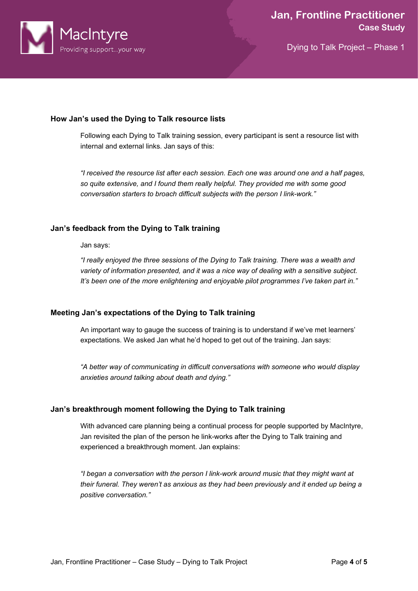

### **How Jan's used the Dying to Talk resource lists**

Following each Dying to Talk training session, every participant is sent a resource list with internal and external links. Jan says of this:

*"I received the resource list after each session. Each one was around one and a half pages, so quite extensive, and I found them really helpful. They provided me with some good conversation starters to broach difficult subjects with the person I link-work."*

### **Jan's feedback from the Dying to Talk training**

Jan says:

*"I really enjoyed the three sessions of the Dying to Talk training. There was a wealth and variety of information presented, and it was a nice way of dealing with a sensitive subject. It's been one of the more enlightening and enjoyable pilot programmes I've taken part in."*

## **Meeting Jan's expectations of the Dying to Talk training**

An important way to gauge the success of training is to understand if we've met learners' expectations. We asked Jan what he'd hoped to get out of the training. Jan says:

*"A better way of communicating in difficult conversations with someone who would display anxieties around talking about death and dying."* 

#### **Jan's breakthrough moment following the Dying to Talk training**

With advanced care planning being a continual process for people supported by MacIntyre, Jan revisited the plan of the person he link-works after the Dying to Talk training and experienced a breakthrough moment. Jan explains:

*"I began a conversation with the person I link-work around music that they might want at their funeral. They weren't as anxious as they had been previously and it ended up being a positive conversation."*